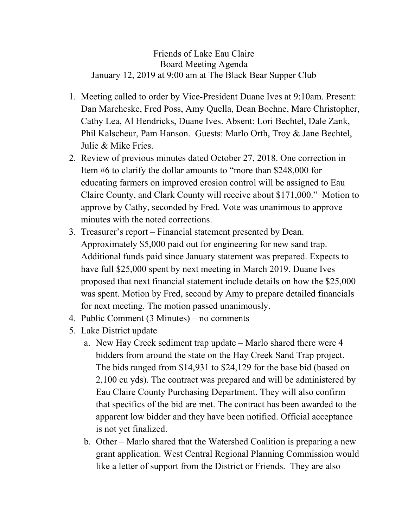Friends of Lake Eau Claire Board Meeting Agenda January 12, 2019 at 9:00 am at The Black Bear Supper Club

- 1. Meeting called to order by Vice-President Duane Ives at 9:10am. Present: Dan Marcheske, Fred Poss, Amy Quella, Dean Boehne, Marc Christopher, Cathy Lea, Al Hendricks, Duane Ives. Absent: Lori Bechtel, Dale Zank, Phil Kalscheur, Pam Hanson. Guests: Marlo Orth, Troy & Jane Bechtel, Julie & Mike Fries.
- 2. Review of previous minutes dated October 27, 2018. One correction in Item #6 to clarify the dollar amounts to "more than \$248,000 for educating farmers on improved erosion control will be assigned to Eau Claire County, and Clark County will receive about \$171,000." Motion to approve by Cathy, seconded by Fred. Vote was unanimous to approve minutes with the noted corrections.
- 3. Treasurer's report Financial statement presented by Dean. Approximately \$5,000 paid out for engineering for new sand trap. Additional funds paid since January statement was prepared. Expects to have full \$25,000 spent by next meeting in March 2019. Duane Ives proposed that next financial statement include details on how the \$25,000 was spent. Motion by Fred, second by Amy to prepare detailed financials for next meeting. The motion passed unanimously.
- 4. Public Comment (3 Minutes) no comments
- 5. Lake District update
	- a. New Hay Creek sediment trap update Marlo shared there were 4 bidders from around the state on the Hay Creek Sand Trap project. The bids ranged from \$14,931 to \$24,129 for the base bid (based on 2,100 cu yds). The contract was prepared and will be administered by Eau Claire County Purchasing Department. They will also confirm that specifics of the bid are met. The contract has been awarded to the apparent low bidder and they have been notified. Official acceptance is not yet finalized.
	- b. Other Marlo shared that the Watershed Coalition is preparing a new grant application. West Central Regional Planning Commission would like a letter of support from the District or Friends. They are also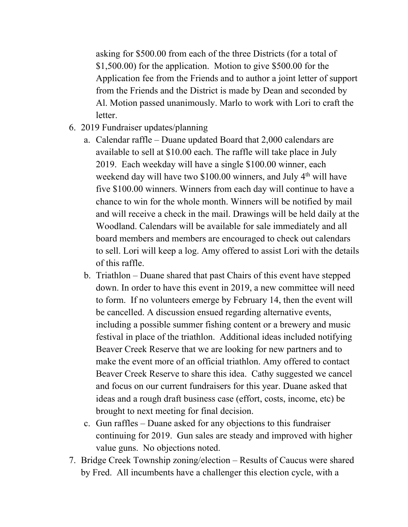asking for \$500.00 from each of the three Districts (for a total of \$1,500.00) for the application. Motion to give \$500.00 for the Application fee from the Friends and to author a joint letter of support from the Friends and the District is made by Dean and seconded by Al. Motion passed unanimously. Marlo to work with Lori to craft the letter.

- 6. 2019 Fundraiser updates/planning
	- a. Calendar raffle Duane updated Board that 2,000 calendars are available to sell at \$10.00 each. The raffle will take place in July 2019. Each weekday will have a single \$100.00 winner, each weekend day will have two  $$100.00$  winners, and July  $4<sup>th</sup>$  will have five \$100.00 winners. Winners from each day will continue to have a chance to win for the whole month. Winners will be notified by mail and will receive a check in the mail. Drawings will be held daily at the Woodland. Calendars will be available for sale immediately and all board members and members are encouraged to check out calendars to sell. Lori will keep a log. Amy offered to assist Lori with the details of this raffle.
	- b. Triathlon Duane shared that past Chairs of this event have stepped down. In order to have this event in 2019, a new committee will need to form. If no volunteers emerge by February 14, then the event will be cancelled. A discussion ensued regarding alternative events, including a possible summer fishing content or a brewery and music festival in place of the triathlon. Additional ideas included notifying Beaver Creek Reserve that we are looking for new partners and to make the event more of an official triathlon. Amy offered to contact Beaver Creek Reserve to share this idea. Cathy suggested we cancel and focus on our current fundraisers for this year. Duane asked that ideas and a rough draft business case (effort, costs, income, etc) be brought to next meeting for final decision.
	- c. Gun raffles Duane asked for any objections to this fundraiser continuing for 2019. Gun sales are steady and improved with higher value guns. No objections noted.
- 7. Bridge Creek Township zoning/election Results of Caucus were shared by Fred. All incumbents have a challenger this election cycle, with a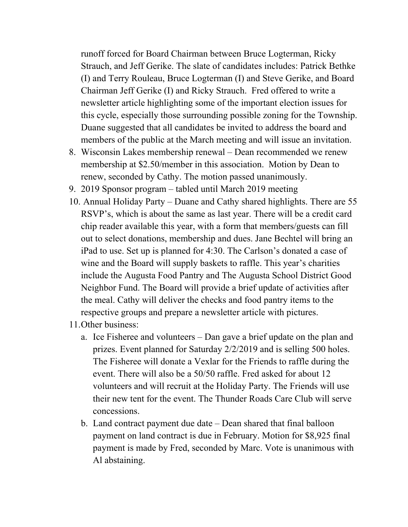runoff forced for Board Chairman between Bruce Logterman, Ricky Strauch, and Jeff Gerike. The slate of candidates includes: Patrick Bethke (I) and Terry Rouleau, Bruce Logterman (I) and Steve Gerike, and Board Chairman Jeff Gerike (I) and Ricky Strauch. Fred offered to write a newsletter article highlighting some of the important election issues for this cycle, especially those surrounding possible zoning for the Township. Duane suggested that all candidates be invited to address the board and members of the public at the March meeting and will issue an invitation.

- 8. Wisconsin Lakes membership renewal Dean recommended we renew membership at \$2.50/member in this association. Motion by Dean to renew, seconded by Cathy. The motion passed unanimously.
- 9. 2019 Sponsor program tabled until March 2019 meeting
- 10. Annual Holiday Party Duane and Cathy shared highlights. There are 55 RSVP's, which is about the same as last year. There will be a credit card chip reader available this year, with a form that members/guests can fill out to select donations, membership and dues. Jane Bechtel will bring an iPad to use. Set up is planned for 4:30. The Carlson's donated a case of wine and the Board will supply baskets to raffle. This year's charities include the Augusta Food Pantry and The Augusta School District Good Neighbor Fund. The Board will provide a brief update of activities after the meal. Cathy will deliver the checks and food pantry items to the respective groups and prepare a newsletter article with pictures.
- 11.Other business:
	- a. Ice Fisheree and volunteers Dan gave a brief update on the plan and prizes. Event planned for Saturday 2/2/2019 and is selling 500 holes. The Fisheree will donate a Vexlar for the Friends to raffle during the event. There will also be a 50/50 raffle. Fred asked for about 12 volunteers and will recruit at the Holiday Party. The Friends will use their new tent for the event. The Thunder Roads Care Club will serve concessions.
	- b. Land contract payment due date Dean shared that final balloon payment on land contract is due in February. Motion for \$8,925 final payment is made by Fred, seconded by Marc. Vote is unanimous with Al abstaining.